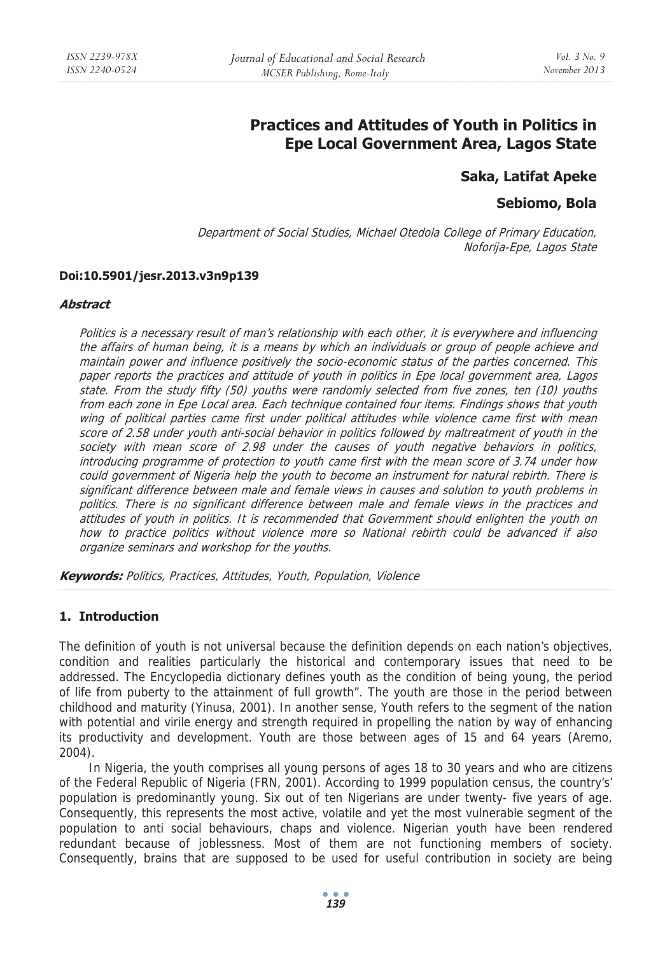# **Practices and Attitudes of Youth in Politics in Epe Local Government Area, Lagos State**

# **Saka, Latifat Apeke**

# **Sebiomo, Bola**

Department of Social Studies, Michael Otedola College of Primary Education, Noforija-Epe, Lagos State

## **Doi:10.5901/jesr.2013.v3n9p139**

#### **Abstract**

Politics is a necessary result of man's relationship with each other, it is everywhere and influencing the affairs of human being, it is a means by which an individuals or group of people achieve and maintain power and influence positively the socio-economic status of the parties concerned. This paper reports the practices and attitude of youth in politics in Epe local government area, Lagos state. From the study fifty (50) youths were randomly selected from five zones, ten (10) youths from each zone in Epe Local area. Each technique contained four items. Findings shows that youth wing of political parties came first under political attitudes while violence came first with mean score of 2.58 under youth anti-social behavior in politics followed by maltreatment of youth in the society with mean score of 2.98 under the causes of youth negative behaviors in politics, introducing programme of protection to youth came first with the mean score of 3.74 under how could government of Nigeria help the youth to become an instrument for natural rebirth. There is significant difference between male and female views in causes and solution to youth problems in politics. There is no significant difference between male and female views in the practices and attitudes of youth in politics. It is recommended that Government should enlighten the youth on how to practice politics without violence more so National rebirth could be advanced if also organize seminars and workshop for the youths.

**Keywords:** Politics, Practices, Attitudes, Youth, Population, Violence

# **1. Introduction**

The definition of youth is not universal because the definition depends on each nation's objectives, condition and realities particularly the historical and contemporary issues that need to be addressed. The Encyclopedia dictionary defines youth as the condition of being young, the period of life from puberty to the attainment of full growth". The youth are those in the period between childhood and maturity (Yinusa, 2001). In another sense, Youth refers to the segment of the nation with potential and virile energy and strength required in propelling the nation by way of enhancing its productivity and development. Youth are those between ages of 15 and 64 years (Aremo, 2004).

In Nigeria, the youth comprises all young persons of ages 18 to 30 years and who are citizens of the Federal Republic of Nigeria (FRN, 2001). According to 1999 population census, the country's' population is predominantly young. Six out of ten Nigerians are under twenty- five years of age. Consequently, this represents the most active, volatile and yet the most vulnerable segment of the population to anti social behaviours, chaps and violence. Nigerian youth have been rendered redundant because of joblessness. Most of them are not functioning members of society. Consequently, brains that are supposed to be used for useful contribution in society are being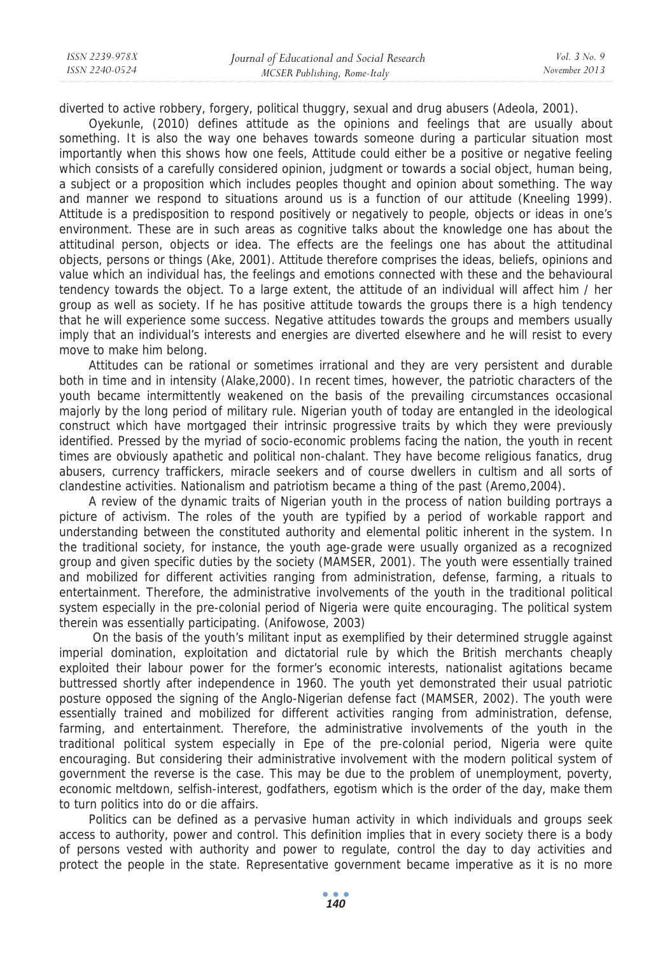| ISSN 2239-978X | Journal of Educational and Social Research | <i>Vol.</i> 3 No. 9 |
|----------------|--------------------------------------------|---------------------|
| ISSN 2240-0524 | MCSER Publishing, Rome-Italy               | November 2013       |
|                |                                            |                     |

diverted to active robbery, forgery, political thuggry, sexual and drug abusers (Adeola, 2001).

Oyekunle, (2010) defines attitude as the opinions and feelings that are usually about something. It is also the way one behaves towards someone during a particular situation most importantly when this shows how one feels, Attitude could either be a positive or negative feeling which consists of a carefully considered opinion, judgment or towards a social object, human being, a subject or a proposition which includes peoples thought and opinion about something. The way and manner we respond to situations around us is a function of our attitude (Kneeling 1999). Attitude is a predisposition to respond positively or negatively to people, objects or ideas in one's environment. These are in such areas as cognitive talks about the knowledge one has about the attitudinal person, objects or idea. The effects are the feelings one has about the attitudinal objects, persons or things (Ake, 2001). Attitude therefore comprises the ideas, beliefs, opinions and value which an individual has, the feelings and emotions connected with these and the behavioural tendency towards the object. To a large extent, the attitude of an individual will affect him / her group as well as society. If he has positive attitude towards the groups there is a high tendency that he will experience some success. Negative attitudes towards the groups and members usually imply that an individual's interests and energies are diverted elsewhere and he will resist to every move to make him belong.

Attitudes can be rational or sometimes irrational and they are very persistent and durable both in time and in intensity (Alake,2000). In recent times, however, the patriotic characters of the youth became intermittently weakened on the basis of the prevailing circumstances occasional majorly by the long period of military rule. Nigerian youth of today are entangled in the ideological construct which have mortgaged their intrinsic progressive traits by which they were previously identified. Pressed by the myriad of socio-economic problems facing the nation, the youth in recent times are obviously apathetic and political non-chalant. They have become religious fanatics, drug abusers, currency traffickers, miracle seekers and of course dwellers in cultism and all sorts of clandestine activities. Nationalism and patriotism became a thing of the past (Aremo,2004).

A review of the dynamic traits of Nigerian youth in the process of nation building portrays a picture of activism. The roles of the youth are typified by a period of workable rapport and understanding between the constituted authority and elemental politic inherent in the system. In the traditional society, for instance, the youth age-grade were usually organized as a recognized group and given specific duties by the society (MAMSER, 2001). The youth were essentially trained and mobilized for different activities ranging from administration, defense, farming, a rituals to entertainment. Therefore, the administrative involvements of the youth in the traditional political system especially in the pre-colonial period of Nigeria were quite encouraging. The political system therein was essentially participating. (Anifowose, 2003)

 On the basis of the youth's militant input as exemplified by their determined struggle against imperial domination, exploitation and dictatorial rule by which the British merchants cheaply exploited their labour power for the former's economic interests, nationalist agitations became buttressed shortly after independence in 1960. The youth yet demonstrated their usual patriotic posture opposed the signing of the Anglo-Nigerian defense fact (MAMSER, 2002). The youth were essentially trained and mobilized for different activities ranging from administration, defense, farming, and entertainment. Therefore, the administrative involvements of the youth in the traditional political system especially in Epe of the pre-colonial period, Nigeria were quite encouraging. But considering their administrative involvement with the modern political system of government the reverse is the case. This may be due to the problem of unemployment, poverty, economic meltdown, selfish-interest, godfathers, egotism which is the order of the day, make them to turn politics into do or die affairs.

Politics can be defined as a pervasive human activity in which individuals and groups seek access to authority, power and control. This definition implies that in every society there is a body of persons vested with authority and power to regulate, control the day to day activities and protect the people in the state. Representative government became imperative as it is no more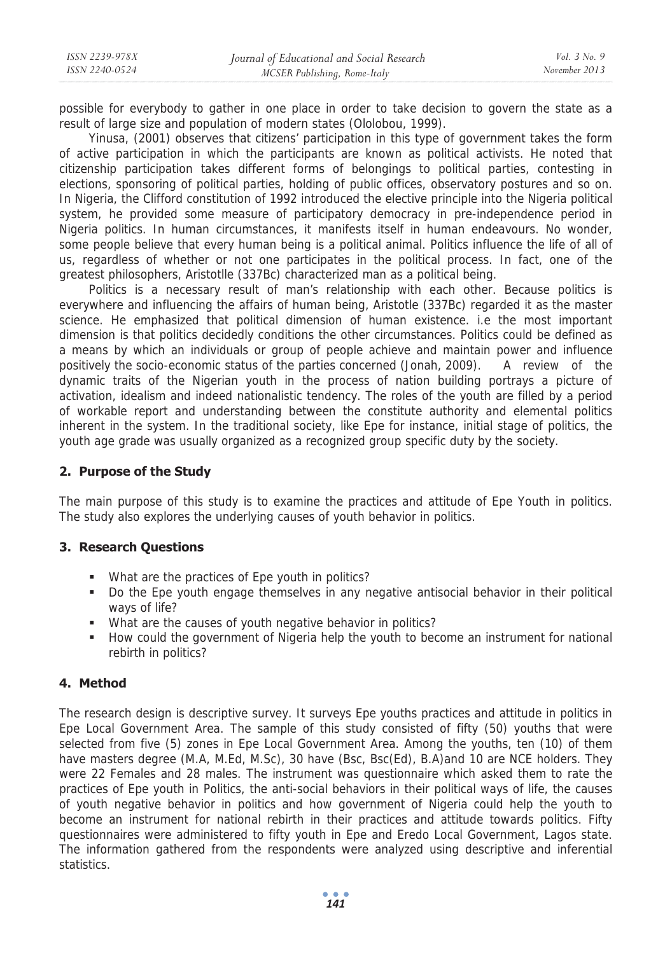possible for everybody to gather in one place in order to take decision to govern the state as a result of large size and population of modern states (Ololobou, 1999).

Yinusa, (2001) observes that citizens' participation in this type of government takes the form of active participation in which the participants are known as political activists. He noted that citizenship participation takes different forms of belongings to political parties, contesting in elections, sponsoring of political parties, holding of public offices, observatory postures and so on. In Nigeria, the Clifford constitution of 1992 introduced the elective principle into the Nigeria political system, he provided some measure of participatory democracy in pre-independence period in Nigeria politics. In human circumstances, it manifests itself in human endeavours. No wonder, some people believe that every human being is a political animal. Politics influence the life of all of us, regardless of whether or not one participates in the political process. In fact, one of the greatest philosophers, Aristotlle (337Bc) characterized man as a political being.

Politics is a necessary result of man's relationship with each other. Because politics is everywhere and influencing the affairs of human being, Aristotle (337Bc) regarded it as the master science. He emphasized that political dimension of human existence. i.e the most important dimension is that politics decidedly conditions the other circumstances. Politics could be defined as a means by which an individuals or group of people achieve and maintain power and influence positively the socio-economic status of the parties concerned (Jonah, 2009). A review of the dynamic traits of the Nigerian youth in the process of nation building portrays a picture of activation, idealism and indeed nationalistic tendency. The roles of the youth are filled by a period of workable report and understanding between the constitute authority and elemental politics inherent in the system. In the traditional society, like Epe for instance, initial stage of politics, the youth age grade was usually organized as a recognized group specific duty by the society.

## **2. Purpose of the Study**

The main purpose of this study is to examine the practices and attitude of Epe Youth in politics. The study also explores the underlying causes of youth behavior in politics.

## **3. Research Questions**

- What are the practices of Epe youth in politics?
- Do the Epe youth engage themselves in any negative antisocial behavior in their political ways of life?
- What are the causes of youth negative behavior in politics?
- How could the government of Nigeria help the youth to become an instrument for national rebirth in politics?

## **4. Method**

The research design is descriptive survey. It surveys Epe youths practices and attitude in politics in Epe Local Government Area. The sample of this study consisted of fifty (50) youths that were selected from five (5) zones in Epe Local Government Area. Among the youths, ten (10) of them have masters degree (M.A, M.Ed, M.Sc), 30 have (Bsc, Bsc(Ed), B.A)and 10 are NCE holders. They were 22 Females and 28 males. The instrument was questionnaire which asked them to rate the practices of Epe youth in Politics, the anti-social behaviors in their political ways of life, the causes of youth negative behavior in politics and how government of Nigeria could help the youth to become an instrument for national rebirth in their practices and attitude towards politics. Fifty questionnaires were administered to fifty youth in Epe and Eredo Local Government, Lagos state. The information gathered from the respondents were analyzed using descriptive and inferential statistics.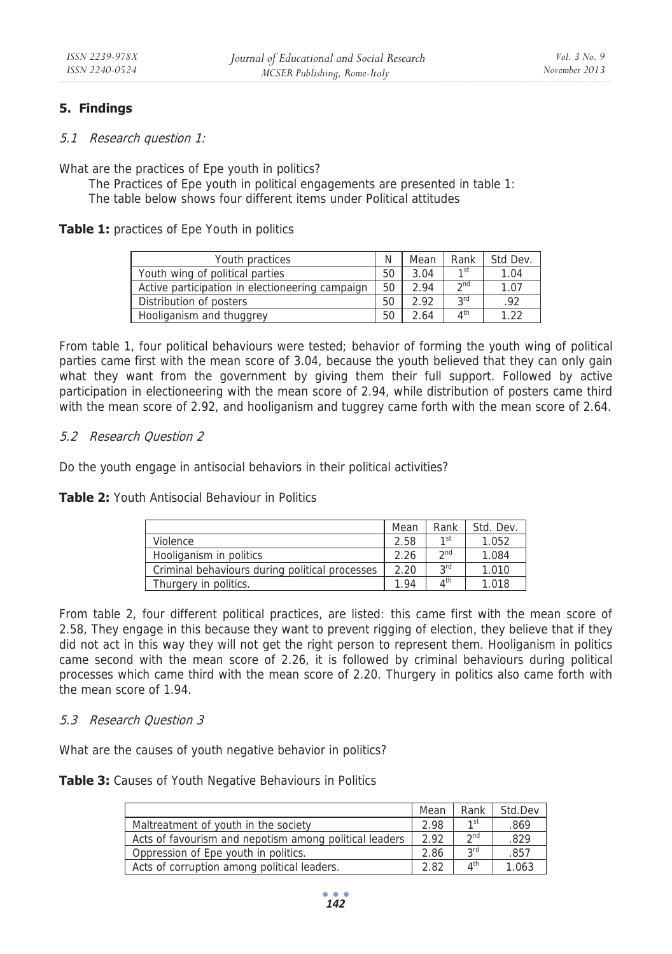# **5. Findings**

5.1 Research question 1:

What are the practices of Epe youth in politics?

The Practices of Epe youth in political engagements are presented in table 1: The table below shows four different items under Political attitudes

## **Table 1:** practices of Epe Youth in politics

| Youth practices                                 | N  | Mean | Rank                     | Std Dev. |
|-------------------------------------------------|----|------|--------------------------|----------|
| Youth wing of political parties                 | 50 | 3.04 | 1 <sub>st</sub>          | 1.04     |
| Active participation in electioneering campaign | 50 | 2.94 | $\gamma$ nd              | 1.07     |
| Distribution of posters                         | 50 | 2.92 | 2rd                      | .92      |
| Hooliganism and thuggrey                        | 50 | 2.64 | $\mathbf{A}^{\text{th}}$ | ີລາ      |

From table 1, four political behaviours were tested; behavior of forming the youth wing of political parties came first with the mean score of 3.04, because the youth believed that they can only gain what they want from the government by giving them their full support. Followed by active participation in electioneering with the mean score of 2.94, while distribution of posters came third with the mean score of 2.92, and hooliganism and tuggrey came forth with the mean score of 2.64.

## 5.2 Research Question 2

Do the youth engage in antisocial behaviors in their political activities?

#### **Table 2:** Youth Antisocial Behaviour in Politics

|                                                | Mean | Rank                    | Std. Dev. |
|------------------------------------------------|------|-------------------------|-----------|
| Violence                                       | 2.58 | 1 <sub>st</sub>         | 1.052     |
| Hooliganism in politics                        | 2.26 | $\gamma$ nd             | 1.084     |
| Criminal behaviours during political processes | 2.20 | <b>2rd</b>              | 1.010     |
| Thurgery in politics.                          | 1.94 | $\Lambda$ <sup>th</sup> | 1.018     |

From table 2, four different political practices, are listed: this came first with the mean score of 2.58, They engage in this because they want to prevent rigging of election, they believe that if they did not act in this way they will not get the right person to represent them. Hooliganism in politics came second with the mean score of 2.26, it is followed by criminal behaviours during political processes which came third with the mean score of 2.20. Thurgery in politics also came forth with the mean score of 1.94.

## 5.3 Research Question 3

What are the causes of youth negative behavior in politics?

**Table 3:** Causes of Youth Negative Behaviours in Politics

|                                                        | Mean | Rank                  | Std.Dev |
|--------------------------------------------------------|------|-----------------------|---------|
| Maltreatment of youth in the society                   | 2.98 | 1st                   | .869    |
| Acts of favourism and nepotism among political leaders | 2.92 | 2 <sub>nd</sub>       | .829    |
| Oppression of Epe youth in politics.                   |      | 2rd                   | .857    |
| Acts of corruption among political leaders.            | 2.82 | $\Lambda^{\text{th}}$ | 1.063   |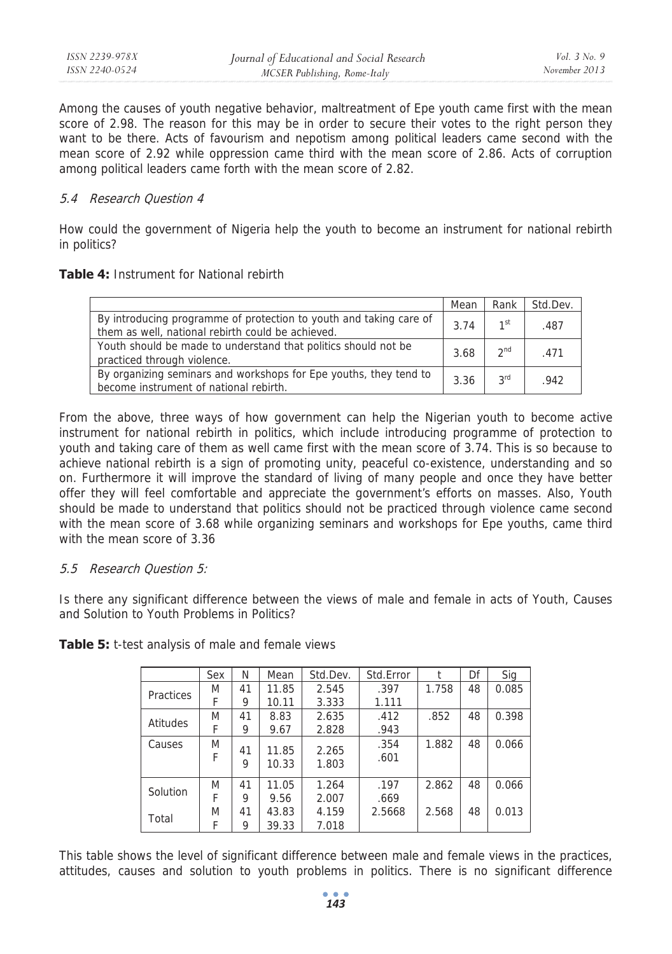| ISSN 2239-978X | Journal of Educational and Social Research | <i>Vol.</i> $3$ No. 9 |
|----------------|--------------------------------------------|-----------------------|
| ISSN 2240-0524 | MCSER Publishing, Rome-Italy               | November 2013         |

Among the causes of youth negative behavior, maltreatment of Epe youth came first with the mean score of 2.98. The reason for this may be in order to secure their votes to the right person they want to be there. Acts of favourism and nepotism among political leaders came second with the mean score of 2.92 while oppression came third with the mean score of 2.86. Acts of corruption among political leaders came forth with the mean score of 2.82.

#### 5.4 Research Question 4

How could the government of Nigeria help the youth to become an instrument for national rebirth in politics?

#### **Table 4:** Instrument for National rebirth

|                                                                                                                         | Mean | Rank            | Std.Dev. |
|-------------------------------------------------------------------------------------------------------------------------|------|-----------------|----------|
| By introducing programme of protection to youth and taking care of<br>them as well, national rebirth could be achieved. | 3.74 | 1st             | .487     |
| Youth should be made to understand that politics should not be<br>practiced through violence.                           | 3.68 | 2 <sup>nd</sup> | .471     |
| By organizing seminars and workshops for Epe youths, they tend to<br>become instrument of national rebirth.             | 3.36 | 3 <sup>rd</sup> | .942     |

From the above, three ways of how government can help the Nigerian youth to become active instrument for national rebirth in politics, which include introducing programme of protection to youth and taking care of them as well came first with the mean score of 3.74. This is so because to achieve national rebirth is a sign of promoting unity, peaceful co-existence, understanding and so on. Furthermore it will improve the standard of living of many people and once they have better offer they will feel comfortable and appreciate the government's efforts on masses. Also, Youth should be made to understand that politics should not be practiced through violence came second with the mean score of 3.68 while organizing seminars and workshops for Epe youths, came third with the mean score of 3.36

## 5.5 Research Question 5:

Is there any significant difference between the views of male and female in acts of Youth, Causes and Solution to Youth Problems in Politics?

|                  | Sex    | Ν       | Mean           | Std.Dev.       | Std.Error    |       | Df | Sig   |
|------------------|--------|---------|----------------|----------------|--------------|-------|----|-------|
| <b>Practices</b> | M      | 41      | 11.85          | 2.545          | .397         | 1.758 | 48 | 0.085 |
|                  | F      | 9       | 10.11          | 3.333          | 1.111        |       |    |       |
| Atitudes         | M      | 41      | 8.83           | 2.635          | .412         | .852  | 48 | 0.398 |
|                  | F      | 9       | 9.67           | 2.828          | .943         |       |    |       |
| Causes           | M<br>F | 41<br>9 | 11.85<br>10.33 | 2.265<br>1.803 | .354<br>.601 | 1.882 | 48 | 0.066 |
| Solution         | M      | 41      | 11.05          | 1.264          | .197         | 2.862 | 48 | 0.066 |
|                  | F      | 9       | 9.56           | 2.007          | .669         |       |    |       |
| Total            | M      | 41      | 43.83          | 4.159          | 2.5668       | 2.568 | 48 | 0.013 |
|                  | F      | 9       | 39.33          | 7.018          |              |       |    |       |

**Table 5:** t-test analysis of male and female views

This table shows the level of significant difference between male and female views in the practices, attitudes, causes and solution to youth problems in politics. There is no significant difference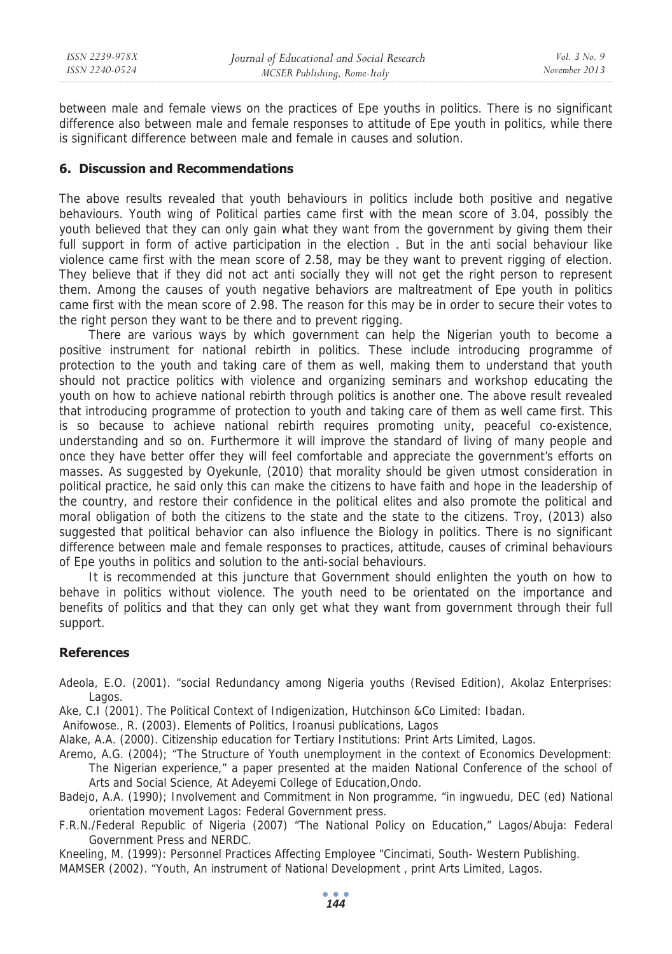between male and female views on the practices of Epe youths in politics. There is no significant difference also between male and female responses to attitude of Epe youth in politics, while there is significant difference between male and female in causes and solution.

## **6. Discussion and Recommendations**

The above results revealed that youth behaviours in politics include both positive and negative behaviours. Youth wing of Political parties came first with the mean score of 3.04, possibly the youth believed that they can only gain what they want from the government by giving them their full support in form of active participation in the election . But in the anti social behaviour like violence came first with the mean score of 2.58, may be they want to prevent rigging of election. They believe that if they did not act anti socially they will not get the right person to represent them. Among the causes of youth negative behaviors are maltreatment of Epe youth in politics came first with the mean score of 2.98. The reason for this may be in order to secure their votes to the right person they want to be there and to prevent rigging.

There are various ways by which government can help the Nigerian youth to become a positive instrument for national rebirth in politics. These include introducing programme of protection to the youth and taking care of them as well, making them to understand that youth should not practice politics with violence and organizing seminars and workshop educating the youth on how to achieve national rebirth through politics is another one. The above result revealed that introducing programme of protection to youth and taking care of them as well came first. This is so because to achieve national rebirth requires promoting unity, peaceful co-existence, understanding and so on. Furthermore it will improve the standard of living of many people and once they have better offer they will feel comfortable and appreciate the government's efforts on masses. As suggested by Oyekunle, (2010) that morality should be given utmost consideration in political practice, he said only this can make the citizens to have faith and hope in the leadership of the country, and restore their confidence in the political elites and also promote the political and moral obligation of both the citizens to the state and the state to the citizens. Troy, (2013) also suggested that political behavior can also influence the Biology in politics. There is no significant difference between male and female responses to practices, attitude, causes of criminal behaviours of Epe youths in politics and solution to the anti-social behaviours.

It is recommended at this juncture that Government should enlighten the youth on how to behave in politics without violence. The youth need to be orientated on the importance and benefits of politics and that they can only get what they want from government through their full support.

#### **References**

Adeola, E.O. (2001). "social Redundancy among Nigeria youths (Revised Edition), Akolaz Enterprises: Lagos.

Ake, C.I (2001). The Political Context of Indigenization, Hutchinson &Co Limited: Ibadan.

Anifowose., R. (2003). Elements of Politics, Iroanusi publications, Lagos

Alake, A.A. (2000). Citizenship education for Tertiary Institutions: Print Arts Limited, Lagos.

- Aremo, A.G. (2004); "The Structure of Youth unemployment in the context of Economics Development: The Nigerian experience," a paper presented at the maiden National Conference of the school of Arts and Social Science, At Adeyemi College of Education,Ondo.
- Badejo, A.A. (1990); Involvement and Commitment in Non programme, "in ingwuedu, DEC (ed) National orientation movement Lagos: Federal Government press.
- F.R.N./Federal Republic of Nigeria (2007) "The National Policy on Education," Lagos/Abuja: Federal Government Press and NERDC.
- Kneeling, M. (1999): Personnel Practices Affecting Employee "Cincimati, South- Western Publishing.

MAMSER (2002). "Youth, An instrument of National Development , print Arts Limited, Lagos.